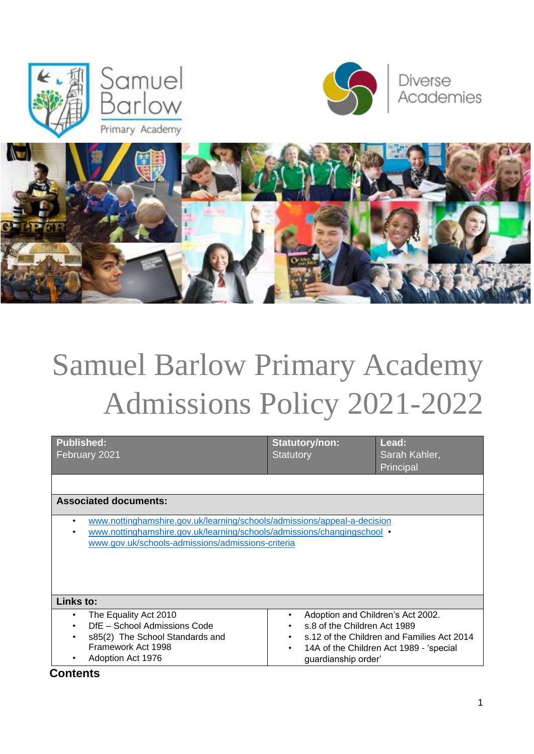



Diverse<br>Academies



# Samuel Barlow Primary Academy Admissions Policy 2021-2022

| <b>Published:</b><br>February 2021                                                                                                                                                                                    | <b>Statutory/non:</b><br><b>Statutory</b>                                                                               | Lead:<br>Sarah Kahler,<br>Principal                                                   |  |
|-----------------------------------------------------------------------------------------------------------------------------------------------------------------------------------------------------------------------|-------------------------------------------------------------------------------------------------------------------------|---------------------------------------------------------------------------------------|--|
|                                                                                                                                                                                                                       |                                                                                                                         |                                                                                       |  |
| <b>Associated documents:</b>                                                                                                                                                                                          |                                                                                                                         |                                                                                       |  |
| www.nottinghamshire.gov.uk/learning/schools/admissions/appeal-a-decision<br>$\bullet$<br>www.nottinghamshire.gov.uk/learning/schools/admissions/changingschool •<br>www.gov.uk/schools-admissions/admissions-criteria |                                                                                                                         |                                                                                       |  |
| Links to:                                                                                                                                                                                                             |                                                                                                                         |                                                                                       |  |
| The Equality Act 2010<br>DfE - School Admissions Code<br>$\bullet$<br>s85(2) The School Standards and<br>Framework Act 1998<br>Adoption Act 1976                                                                      | Adoption and Children's Act 2002.<br>s.8 of the Children Act 1989<br>$\bullet$<br>٠<br>$\bullet$<br>guardianship order' | s.12 of the Children and Families Act 2014<br>14A of the Children Act 1989 - 'special |  |

# **Contents**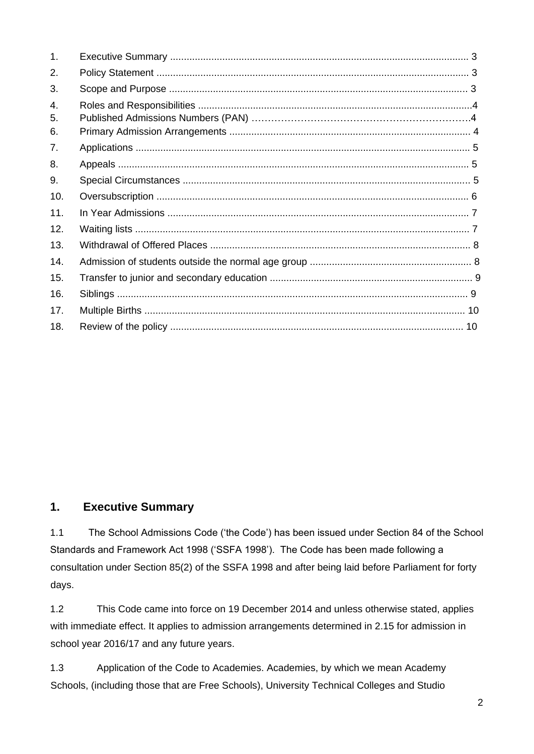| 1.       |  |
|----------|--|
| 2.       |  |
| 3.       |  |
| 4.<br>5. |  |
| 6.<br>7. |  |
| 8.       |  |
| 9.       |  |
| 10.      |  |
| 11.      |  |
| 12.      |  |
| 13.      |  |
| 14.      |  |
| 15.      |  |
| 16.      |  |
| 17.      |  |
| 18.      |  |

## **1. Executive Summary**

1.1 The School Admissions Code ('the Code') has been issued under Section 84 of the School Standards and Framework Act 1998 ('SSFA 1998'). The Code has been made following a consultation under Section 85(2) of the SSFA 1998 and after being laid before Parliament for forty days.

1.2 This Code came into force on 19 December 2014 and unless otherwise stated, applies with immediate effect. It applies to admission arrangements determined in 2.15 for admission in school year 2016/17 and any future years.

1.3 Application of the Code to Academies. Academies, by which we mean Academy Schools, (including those that are Free Schools), University Technical Colleges and Studio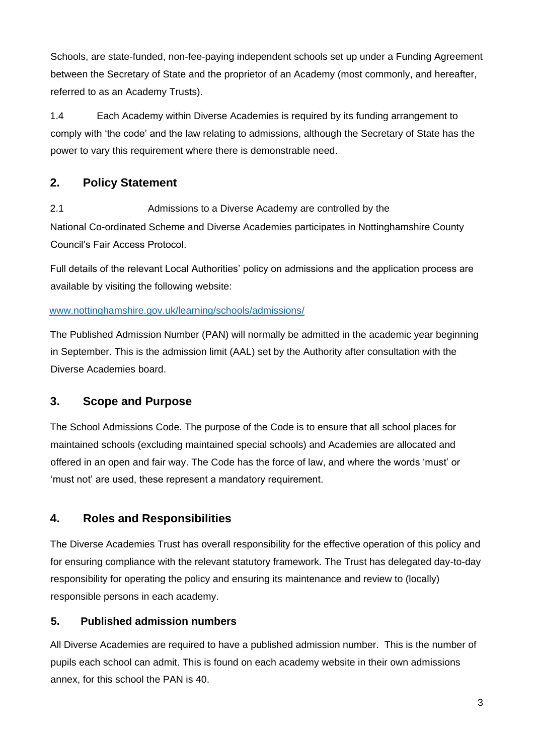Schools, are state-funded, non-fee-paying independent schools set up under a Funding Agreement between the Secretary of State and the proprietor of an Academy (most commonly, and hereafter, referred to as an Academy Trusts).

1.4 Each Academy within Diverse Academies is required by its funding arrangement to comply with 'the code' and the law relating to admissions, although the Secretary of State has the power to vary this requirement where there is demonstrable need.

# **2. Policy Statement**

2.1 Admissions to a Diverse Academy are controlled by the National Co-ordinated Scheme and Diverse Academies participates in Nottinghamshire County Council's Fair Access Protocol.

Full details of the relevant Local Authorities' policy on admissions and the application process are available by visiting the following website:

#### [www.nottinghamshire.gov.uk/learning/schools/admissions/](http://www.nottinghamshire.gov.uk/learning/schools/admissions/)

The Published Admission Number (PAN) will normally be admitted in the academic year beginning in September. This is the admission limit (AAL) set by the Authority after consultation with the Diverse Academies board.

# **3. Scope and Purpose**

The School Admissions Code. The purpose of the Code is to ensure that all school places for maintained schools (excluding maintained special schools) and Academies are allocated and offered in an open and fair way. The Code has the force of law, and where the words 'must' or 'must not' are used, these represent a mandatory requirement.

# **4. Roles and Responsibilities**

The Diverse Academies Trust has overall responsibility for the effective operation of this policy and for ensuring compliance with the relevant statutory framework. The Trust has delegated day-to-day responsibility for operating the policy and ensuring its maintenance and review to (locally) responsible persons in each academy.

## **5. Published admission numbers**

All Diverse Academies are required to have a published admission number. This is the number of pupils each school can admit. This is found on each academy website in their own admissions annex, for this school the PAN is 40.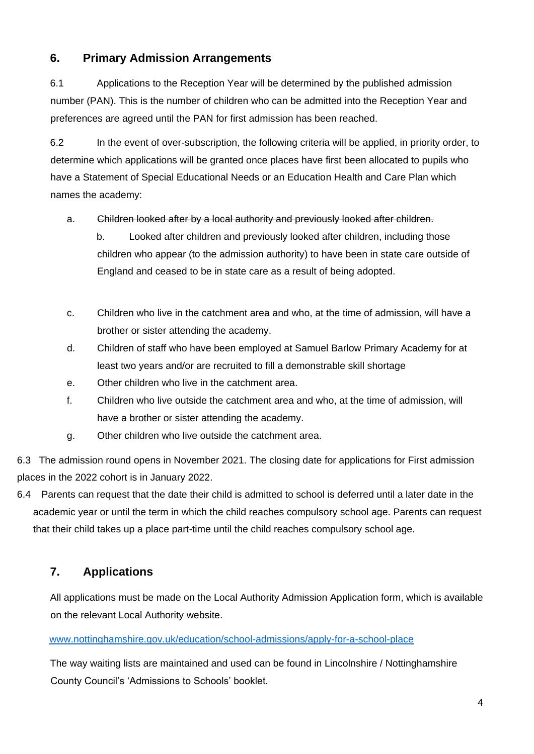# **6. Primary Admission Arrangements**

6.1 Applications to the Reception Year will be determined by the published admission number (PAN). This is the number of children who can be admitted into the Reception Year and preferences are agreed until the PAN for first admission has been reached.

6.2 In the event of over-subscription, the following criteria will be applied, in priority order, to determine which applications will be granted once places have first been allocated to pupils who have a Statement of Special Educational Needs or an Education Health and Care Plan which names the academy:

#### a. Children looked after by a local authority and previously looked after children.

b. Looked after children and previously looked after children, including those children who appear (to the admission authority) to have been in state care outside of England and ceased to be in state care as a result of being adopted.

- c. Children who live in the catchment area and who, at the time of admission, will have a brother or sister attending the academy.
- d. Children of staff who have been employed at Samuel Barlow Primary Academy for at least two years and/or are recruited to fill a demonstrable skill shortage
- e. Other children who live in the catchment area.
- f. Children who live outside the catchment area and who, at the time of admission, will have a brother or sister attending the academy.
- g. Other children who live outside the catchment area.

6.3 The admission round opens in November 2021. The closing date for applications for First admission places in the 2022 cohort is in January 2022.

6.4 Parents can request that the date their child is admitted to school is deferred until a later date in the academic year or until the term in which the child reaches compulsory school age. Parents can request that their child takes up a place part-time until the child reaches compulsory school age.

## **7. Applications**

All applications must be made on the Local Authority Admission Application form, which is available on the relevant Local Authority website.

#### [www.nottinghamshire.gov.uk/education/school-admissions/apply-for-a-school-place](http://www.nottinghamshire.gov.uk/education/school-admissions/apply-for-a-school-place)

The way waiting lists are maintained and used can be found in Lincolnshire / Nottinghamshire County Council's 'Admissions to Schools' booklet.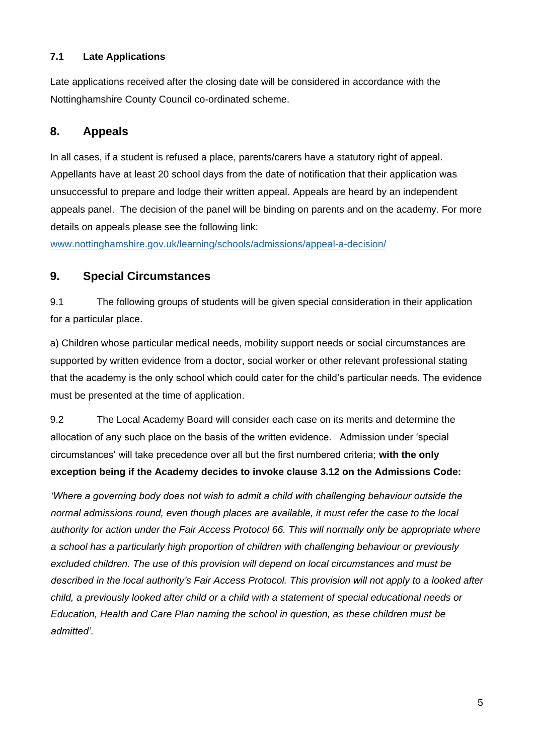#### **7.1 Late Applications**

Late applications received after the closing date will be considered in accordance with the Nottinghamshire County Council co-ordinated scheme.

#### **8. Appeals**

In all cases, if a student is refused a place, parents/carers have a statutory right of appeal. Appellants have at least 20 school days from the date of notification that their application was unsuccessful to prepare and lodge their written appeal. Appeals are heard by an independent appeals panel. The decision of the panel will be binding on parents and on the academy. For more details on appeals please see the following link:

[www.nottinghamshire.gov.uk/learning/schools/admissions/appeal-a-decision/](http://www.nottinghamshire.gov.uk/learning/schools/admissions/appeal-a-decision/)

## **9. Special Circumstances**

9.1 The following groups of students will be given special consideration in their application for a particular place.

a) Children whose particular medical needs, mobility support needs or social circumstances are supported by written evidence from a doctor, social worker or other relevant professional stating that the academy is the only school which could cater for the child's particular needs. The evidence must be presented at the time of application.

9.2 The Local Academy Board will consider each case on its merits and determine the allocation of any such place on the basis of the written evidence. Admission under 'special circumstances' will take precedence over all but the first numbered criteria; **with the only exception being if the Academy decides to invoke clause 3.12 on the Admissions Code:** 

*'Where a governing body does not wish to admit a child with challenging behaviour outside the normal admissions round, even though places are available, it must refer the case to the local authority for action under the Fair Access Protocol 66. This will normally only be appropriate where a school has a particularly high proportion of children with challenging behaviour or previously excluded children. The use of this provision will depend on local circumstances and must be described in the local authority's Fair Access Protocol. This provision will not apply to a looked after child, a previously looked after child or a child with a statement of special educational needs or Education, Health and Care Plan naming the school in question, as these children must be admitted'.*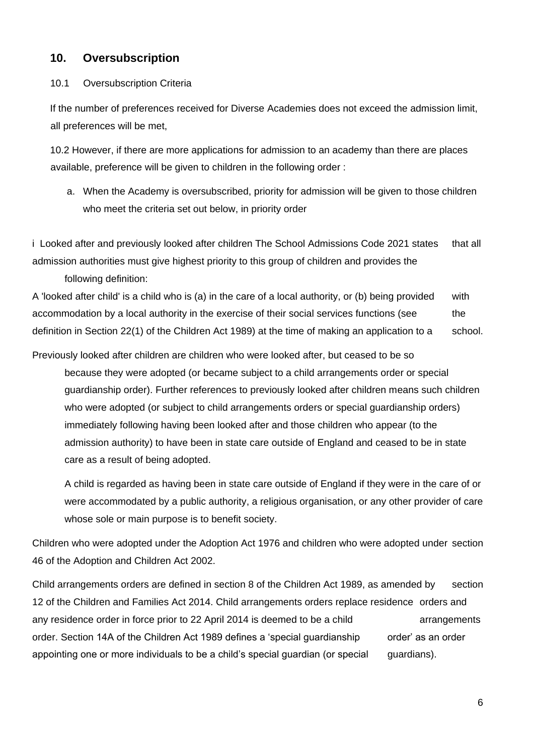## **10. Oversubscription**

#### 10.1 Oversubscription Criteria

If the number of preferences received for Diverse Academies does not exceed the admission limit, all preferences will be met,

10.2 However, if there are more applications for admission to an academy than there are places available, preference will be given to children in the following order :

a. When the Academy is oversubscribed, priority for admission will be given to those children who meet the criteria set out below, in priority order

i Looked after and previously looked after children The School Admissions Code 2021 states that all admission authorities must give highest priority to this group of children and provides the

following definition:

A 'looked after child' is a child who is (a) in the care of a local authority, or (b) being provided with accommodation by a local authority in the exercise of their social services functions (see the definition in Section 22(1) of the Children Act 1989) at the time of making an application to a school.

Previously looked after children are children who were looked after, but ceased to be so because they were adopted (or became subject to a child arrangements order or special guardianship order). Further references to previously looked after children means such children who were adopted (or subject to child arrangements orders or special guardianship orders) immediately following having been looked after and those children who appear (to the admission authority) to have been in state care outside of England and ceased to be in state

care as a result of being adopted.

A child is regarded as having been in state care outside of England if they were in the care of or were accommodated by a public authority, a religious organisation, or any other provider of care whose sole or main purpose is to benefit society.

Children who were adopted under the Adoption Act 1976 and children who were adopted under section 46 of the Adoption and Children Act 2002.

Child arrangements orders are defined in section 8 of the Children Act 1989, as amended by section 12 of the Children and Families Act 2014. Child arrangements orders replace residence orders and any residence order in force prior to 22 April 2014 is deemed to be a child arrangements order. Section 14A of the Children Act 1989 defines a 'special guardianship order' as an order appointing one or more individuals to be a child's special quardian (or special guardians).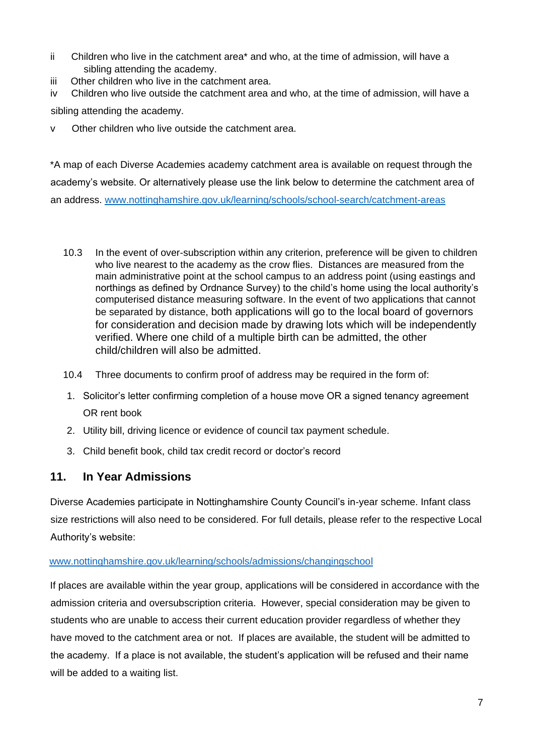- ii Children who live in the catchment area\* and who, at the time of admission, will have a sibling attending the academy.
- iii Other children who live in the catchment area.
- iv Children who live outside the catchment area and who, at the time of admission, will have a sibling attending the academy.
- v Other children who live outside the catchment area.

\*A map of each Diverse Academies academy catchment area is available on request through the academy's website. Or alternatively please use the link below to determine the catchment area of an address. [www.nottinghamshire.gov.uk/learning/schools/school-search/catchment-areas](http://www.nottinghamshire.gov.uk/learning/schools/school-search/catchment-areas)

- 10.3 In the event of over-subscription within any criterion, preference will be given to children who live nearest to the academy as the crow flies. Distances are measured from the main administrative point at the school campus to an address point (using eastings and northings as defined by Ordnance Survey) to the child's home using the local authority's computerised distance measuring software. In the event of two applications that cannot be separated by distance, both applications will go to the local board of governors for consideration and decision made by drawing lots which will be independently verified. Where one child of a multiple birth can be admitted, the other child/children will also be admitted.
- 10.4 Three documents to confirm proof of address may be required in the form of:
- 1. Solicitor's letter confirming completion of a house move OR a signed tenancy agreement OR rent book
- 2. Utility bill, driving licence or evidence of council tax payment schedule.
- 3. Child benefit book, child tax credit record or doctor's record

#### **11. In Year Admissions**

Diverse Academies participate in Nottinghamshire County Council's in-year scheme. Infant class size restrictions will also need to be considered. For full details, please refer to the respective Local Authority's website:

#### [www.nottinghamshire.gov.uk/learning/schools/admissions/changingschool](http://www.nottinghamshire.gov.uk/learning/schools/admissions/changingschool)

If places are available within the year group, applications will be considered in accordance with the admission criteria and oversubscription criteria. However, special consideration may be given to students who are unable to access their current education provider regardless of whether they have moved to the catchment area or not. If places are available, the student will be admitted to the academy. If a place is not available, the student's application will be refused and their name will be added to a waiting list.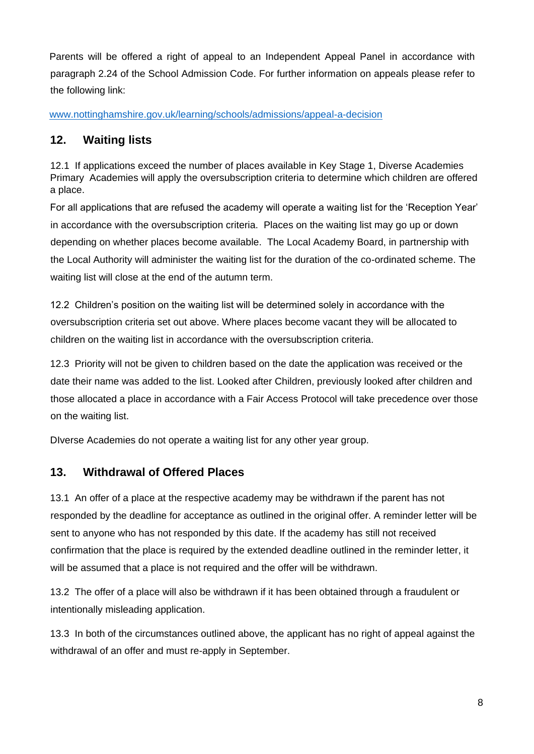Parents will be offered a right of appeal to an Independent Appeal Panel in accordance with paragraph 2.24 of the School Admission Code. For further information on appeals please refer to the following link:

[www.nottinghamshire.gov.uk/learning/schools/admissions/appeal-a-decision](http://www.nottinghamshire.gov.uk/learning/schools/admissions/appeal-a-decision)

## **12. Waiting lists**

12.1 If applications exceed the number of places available in Key Stage 1, Diverse Academies Primary Academies will apply the oversubscription criteria to determine which children are offered a place.

For all applications that are refused the academy will operate a waiting list for the 'Reception Year' in accordance with the oversubscription criteria. Places on the waiting list may go up or down depending on whether places become available. The Local Academy Board, in partnership with the Local Authority will administer the waiting list for the duration of the co-ordinated scheme. The waiting list will close at the end of the autumn term.

12.2 Children's position on the waiting list will be determined solely in accordance with the oversubscription criteria set out above. Where places become vacant they will be allocated to children on the waiting list in accordance with the oversubscription criteria.

12.3 Priority will not be given to children based on the date the application was received or the date their name was added to the list. Looked after Children, previously looked after children and those allocated a place in accordance with a Fair Access Protocol will take precedence over those on the waiting list.

DIverse Academies do not operate a waiting list for any other year group.

## **13. Withdrawal of Offered Places**

13.1 An offer of a place at the respective academy may be withdrawn if the parent has not responded by the deadline for acceptance as outlined in the original offer. A reminder letter will be sent to anyone who has not responded by this date. If the academy has still not received confirmation that the place is required by the extended deadline outlined in the reminder letter, it will be assumed that a place is not required and the offer will be withdrawn.

13.2 The offer of a place will also be withdrawn if it has been obtained through a fraudulent or intentionally misleading application.

13.3 In both of the circumstances outlined above, the applicant has no right of appeal against the withdrawal of an offer and must re-apply in September.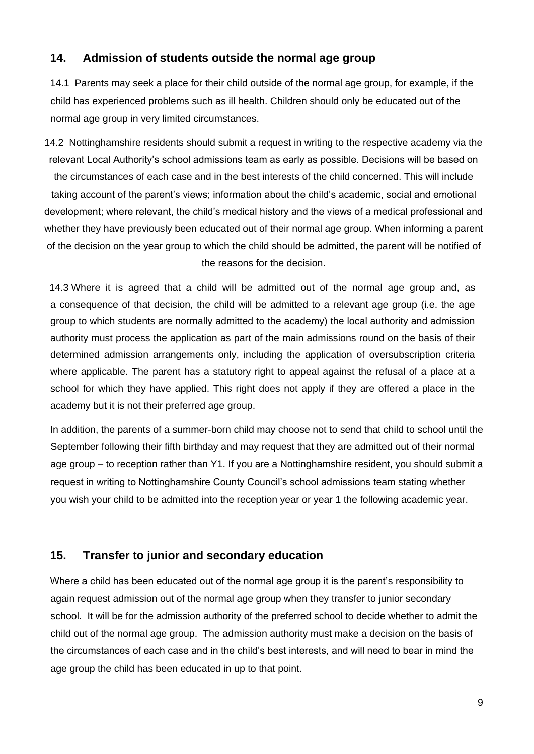#### **14. Admission of students outside the normal age group**

14.1 Parents may seek a place for their child outside of the normal age group, for example, if the child has experienced problems such as ill health. Children should only be educated out of the normal age group in very limited circumstances.

14.2 Nottinghamshire residents should submit a request in writing to the respective academy via the relevant Local Authority's school admissions team as early as possible. Decisions will be based on the circumstances of each case and in the best interests of the child concerned. This will include taking account of the parent's views; information about the child's academic, social and emotional development; where relevant, the child's medical history and the views of a medical professional and whether they have previously been educated out of their normal age group. When informing a parent of the decision on the year group to which the child should be admitted, the parent will be notified of the reasons for the decision.

14.3 Where it is agreed that a child will be admitted out of the normal age group and, as a consequence of that decision, the child will be admitted to a relevant age group (i.e. the age group to which students are normally admitted to the academy) the local authority and admission authority must process the application as part of the main admissions round on the basis of their determined admission arrangements only, including the application of oversubscription criteria where applicable. The parent has a statutory right to appeal against the refusal of a place at a school for which they have applied. This right does not apply if they are offered a place in the academy but it is not their preferred age group.

In addition, the parents of a summer-born child may choose not to send that child to school until the September following their fifth birthday and may request that they are admitted out of their normal age group – to reception rather than Y1. If you are a Nottinghamshire resident, you should submit a request in writing to Nottinghamshire County Council's school admissions team stating whether you wish your child to be admitted into the reception year or year 1 the following academic year.

#### **15. Transfer to junior and secondary education**

Where a child has been educated out of the normal age group it is the parent's responsibility to again request admission out of the normal age group when they transfer to junior secondary school. It will be for the admission authority of the preferred school to decide whether to admit the child out of the normal age group. The admission authority must make a decision on the basis of the circumstances of each case and in the child's best interests, and will need to bear in mind the age group the child has been educated in up to that point.